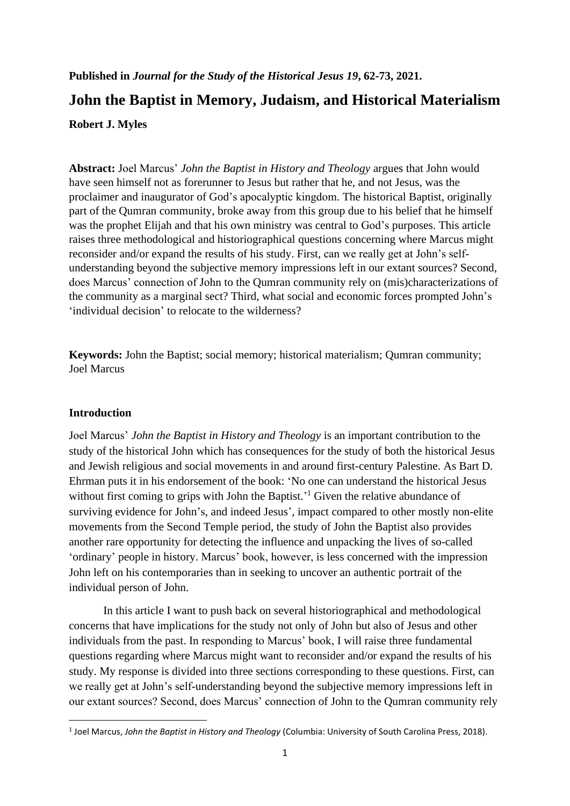# **Published in** *Journal for the Study of the Historical Jesus 19***, 62-73, 2021. John the Baptist in Memory, Judaism, and Historical Materialism Robert J. Myles**

**Abstract:** Joel Marcus' *John the Baptist in History and Theology* argues that John would have seen himself not as forerunner to Jesus but rather that he, and not Jesus, was the proclaimer and inaugurator of God's apocalyptic kingdom. The historical Baptist, originally part of the Qumran community, broke away from this group due to his belief that he himself was the prophet Elijah and that his own ministry was central to God's purposes. This article raises three methodological and historiographical questions concerning where Marcus might reconsider and/or expand the results of his study. First, can we really get at John's selfunderstanding beyond the subjective memory impressions left in our extant sources? Second, does Marcus' connection of John to the Qumran community rely on (mis)characterizations of the community as a marginal sect? Third, what social and economic forces prompted John's 'individual decision' to relocate to the wilderness?

**Keywords:** John the Baptist; social memory; historical materialism; Qumran community; Joel Marcus

### **Introduction**

Joel Marcus' *John the Baptist in History and Theology* is an important contribution to the study of the historical John which has consequences for the study of both the historical Jesus and Jewish religious and social movements in and around first-century Palestine. As Bart D. Ehrman puts it in his endorsement of the book: 'No one can understand the historical Jesus without first coming to grips with John the Baptist.<sup>1</sup> Given the relative abundance of surviving evidence for John's, and indeed Jesus', impact compared to other mostly non-elite movements from the Second Temple period, the study of John the Baptist also provides another rare opportunity for detecting the influence and unpacking the lives of so-called 'ordinary' people in history. Marcus' book, however, is less concerned with the impression John left on his contemporaries than in seeking to uncover an authentic portrait of the individual person of John.

In this article I want to push back on several historiographical and methodological concerns that have implications for the study not only of John but also of Jesus and other individuals from the past. In responding to Marcus' book, I will raise three fundamental questions regarding where Marcus might want to reconsider and/or expand the results of his study. My response is divided into three sections corresponding to these questions. First, can we really get at John's self-understanding beyond the subjective memory impressions left in our extant sources? Second, does Marcus' connection of John to the Qumran community rely

<sup>1</sup> Joel Marcus, *John the Baptist in History and Theology* (Columbia: University of South Carolina Press, 2018).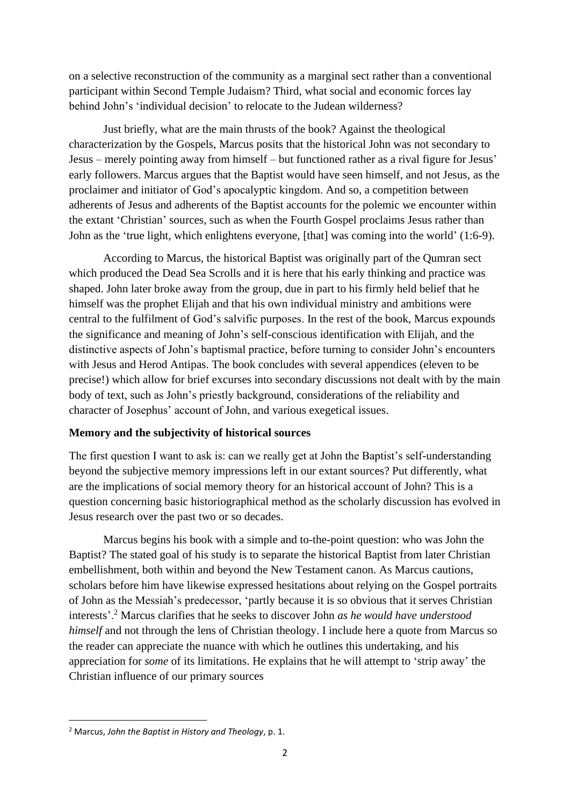on a selective reconstruction of the community as a marginal sect rather than a conventional participant within Second Temple Judaism? Third, what social and economic forces lay behind John's 'individual decision' to relocate to the Judean wilderness?

Just briefly, what are the main thrusts of the book? Against the theological characterization by the Gospels, Marcus posits that the historical John was not secondary to Jesus – merely pointing away from himself – but functioned rather as a rival figure for Jesus' early followers. Marcus argues that the Baptist would have seen himself, and not Jesus, as the proclaimer and initiator of God's apocalyptic kingdom. And so, a competition between adherents of Jesus and adherents of the Baptist accounts for the polemic we encounter within the extant 'Christian' sources, such as when the Fourth Gospel proclaims Jesus rather than John as the 'true light, which enlightens everyone, [that] was coming into the world' (1:6-9).

According to Marcus, the historical Baptist was originally part of the Qumran sect which produced the Dead Sea Scrolls and it is here that his early thinking and practice was shaped. John later broke away from the group, due in part to his firmly held belief that he himself was the prophet Elijah and that his own individual ministry and ambitions were central to the fulfilment of God's salvific purposes. In the rest of the book, Marcus expounds the significance and meaning of John's self-conscious identification with Elijah, and the distinctive aspects of John's baptismal practice, before turning to consider John's encounters with Jesus and Herod Antipas. The book concludes with several appendices (eleven to be precise!) which allow for brief excurses into secondary discussions not dealt with by the main body of text, such as John's priestly background, considerations of the reliability and character of Josephus' account of John, and various exegetical issues.

### **Memory and the subjectivity of historical sources**

The first question I want to ask is: can we really get at John the Baptist's self-understanding beyond the subjective memory impressions left in our extant sources? Put differently, what are the implications of social memory theory for an historical account of John? This is a question concerning basic historiographical method as the scholarly discussion has evolved in Jesus research over the past two or so decades.

Marcus begins his book with a simple and to-the-point question: who was John the Baptist? The stated goal of his study is to separate the historical Baptist from later Christian embellishment, both within and beyond the New Testament canon. As Marcus cautions, scholars before him have likewise expressed hesitations about relying on the Gospel portraits of John as the Messiah's predecessor, 'partly because it is so obvious that it serves Christian interests'.<sup>2</sup> Marcus clarifies that he seeks to discover John *as he would have understood himself* and not through the lens of Christian theology. I include here a quote from Marcus so the reader can appreciate the nuance with which he outlines this undertaking, and his appreciation for *some* of its limitations. He explains that he will attempt to 'strip away' the Christian influence of our primary sources

<sup>2</sup> Marcus, *John the Baptist in History and Theology*, p. 1.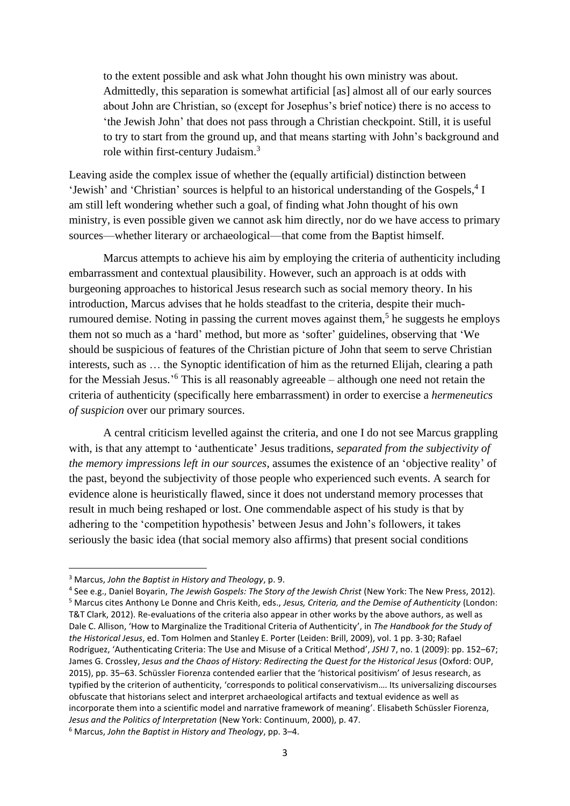to the extent possible and ask what John thought his own ministry was about. Admittedly, this separation is somewhat artificial [as] almost all of our early sources about John are Christian, so (except for Josephus's brief notice) there is no access to 'the Jewish John' that does not pass through a Christian checkpoint. Still, it is useful to try to start from the ground up, and that means starting with John's background and role within first-century Judaism.<sup>3</sup>

Leaving aside the complex issue of whether the (equally artificial) distinction between 'Jewish' and 'Christian' sources is helpful to an historical understanding of the Gospels,<sup>4</sup> I am still left wondering whether such a goal, of finding what John thought of his own ministry, is even possible given we cannot ask him directly, nor do we have access to primary sources—whether literary or archaeological—that come from the Baptist himself.

Marcus attempts to achieve his aim by employing the criteria of authenticity including embarrassment and contextual plausibility. However, such an approach is at odds with burgeoning approaches to historical Jesus research such as social memory theory. In his introduction, Marcus advises that he holds steadfast to the criteria, despite their muchrumoured demise. Noting in passing the current moves against them,<sup>5</sup> he suggests he employs them not so much as a 'hard' method, but more as 'softer' guidelines, observing that 'We should be suspicious of features of the Christian picture of John that seem to serve Christian interests, such as … the Synoptic identification of him as the returned Elijah, clearing a path for the Messiah Jesus.' <sup>6</sup> This is all reasonably agreeable – although one need not retain the criteria of authenticity (specifically here embarrassment) in order to exercise a *hermeneutics of suspicion* over our primary sources.

A central criticism levelled against the criteria, and one I do not see Marcus grappling with, is that any attempt to 'authenticate' Jesus traditions, *separated from the subjectivity of the memory impressions left in our sources*, assumes the existence of an 'objective reality' of the past, beyond the subjectivity of those people who experienced such events. A search for evidence alone is heuristically flawed, since it does not understand memory processes that result in much being reshaped or lost. One commendable aspect of his study is that by adhering to the 'competition hypothesis' between Jesus and John's followers, it takes seriously the basic idea (that social memory also affirms) that present social conditions

<sup>3</sup> Marcus, *John the Baptist in History and Theology*, p. 9.

<sup>4</sup> See e.g., Daniel Boyarin, *The Jewish Gospels: The Story of the Jewish Christ* (New York: The New Press, 2012). <sup>5</sup> Marcus cites Anthony Le Donne and Chris Keith, eds., *Jesus, Criteria, and the Demise of Authenticity* (London: T&T Clark, 2012). Re-evaluations of the criteria also appear in other works by the above authors, as well as Dale C. Allison, 'How to Marginalize the Traditional Criteria of Authenticity', in *The Handbook for the Study of the Historical Jesus*, ed. Tom Holmen and Stanley E. Porter (Leiden: Brill, 2009), vol. 1 pp. 3-30; Rafael Rodríguez, 'Authenticating Criteria: The Use and Misuse of a Critical Method', *JSHJ* 7, no. 1 (2009): pp. 152–67; James G. Crossley, *Jesus and the Chaos of History: Redirecting the Quest for the Historical Jesus* (Oxford: OUP, 2015), pp. 35–63. Schüssler Fiorenza contended earlier that the 'historical positivism' of Jesus research, as typified by the criterion of authenticity, 'corresponds to political conservativism…. Its universalizing discourses obfuscate that historians select and interpret archaeological artifacts and textual evidence as well as incorporate them into a scientific model and narrative framework of meaning'. Elisabeth Schüssler Fiorenza, *Jesus and the Politics of Interpretation* (New York: Continuum, 2000), p. 47. <sup>6</sup> Marcus, *John the Baptist in History and Theology*, pp. 3–4.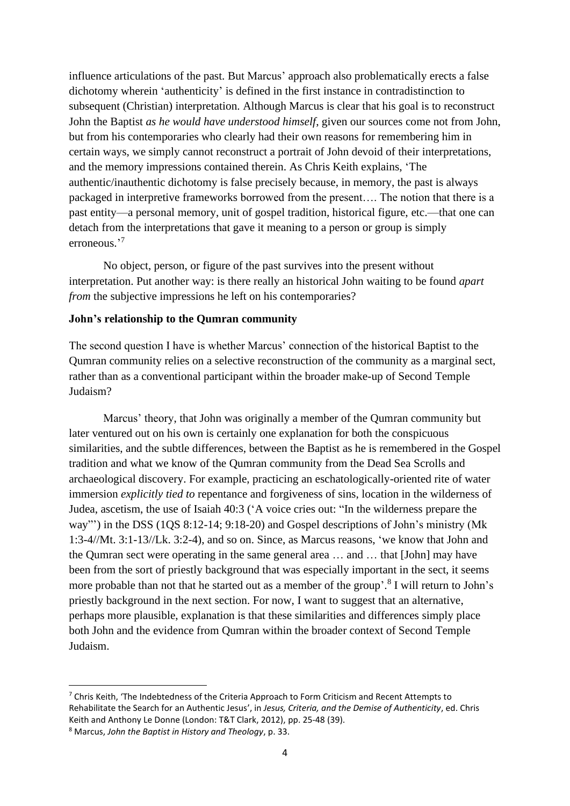influence articulations of the past. But Marcus' approach also problematically erects a false dichotomy wherein 'authenticity' is defined in the first instance in contradistinction to subsequent (Christian) interpretation. Although Marcus is clear that his goal is to reconstruct John the Baptist *as he would have understood himself*, given our sources come not from John, but from his contemporaries who clearly had their own reasons for remembering him in certain ways, we simply cannot reconstruct a portrait of John devoid of their interpretations, and the memory impressions contained therein. As Chris Keith explains, 'The authentic/inauthentic dichotomy is false precisely because, in memory, the past is always packaged in interpretive frameworks borrowed from the present…. The notion that there is a past entity—a personal memory, unit of gospel tradition, historical figure, etc.—that one can detach from the interpretations that gave it meaning to a person or group is simply erroneous.' 7

No object, person, or figure of the past survives into the present without interpretation. Put another way: is there really an historical John waiting to be found *apart from* the subjective impressions he left on his contemporaries?

## **John's relationship to the Qumran community**

The second question I have is whether Marcus' connection of the historical Baptist to the Qumran community relies on a selective reconstruction of the community as a marginal sect, rather than as a conventional participant within the broader make-up of Second Temple Judaism?

Marcus' theory, that John was originally a member of the Qumran community but later ventured out on his own is certainly one explanation for both the conspicuous similarities, and the subtle differences, between the Baptist as he is remembered in the Gospel tradition and what we know of the Qumran community from the Dead Sea Scrolls and archaeological discovery. For example, practicing an eschatologically-oriented rite of water immersion *explicitly tied to* repentance and forgiveness of sins, location in the wilderness of Judea, ascetism, the use of Isaiah 40:3 ('A voice cries out: "In the wilderness prepare the way"') in the DSS (1QS 8:12-14; 9:18-20) and Gospel descriptions of John's ministry (Mk 1:3-4//Mt. 3:1-13//Lk. 3:2-4), and so on. Since, as Marcus reasons, 'we know that John and the Qumran sect were operating in the same general area … and … that [John] may have been from the sort of priestly background that was especially important in the sect, it seems more probable than not that he started out as a member of the group'.<sup>8</sup> I will return to John's priestly background in the next section. For now, I want to suggest that an alternative, perhaps more plausible, explanation is that these similarities and differences simply place both John and the evidence from Qumran within the broader context of Second Temple Judaism.

 $7$  Chris Keith, 'The Indebtedness of the Criteria Approach to Form Criticism and Recent Attempts to Rehabilitate the Search for an Authentic Jesus', in *Jesus, Criteria, and the Demise of Authenticity*, ed. Chris Keith and Anthony Le Donne (London: T&T Clark, 2012), pp. 25-48 (39).

<sup>8</sup> Marcus, *John the Baptist in History and Theology*, p. 33.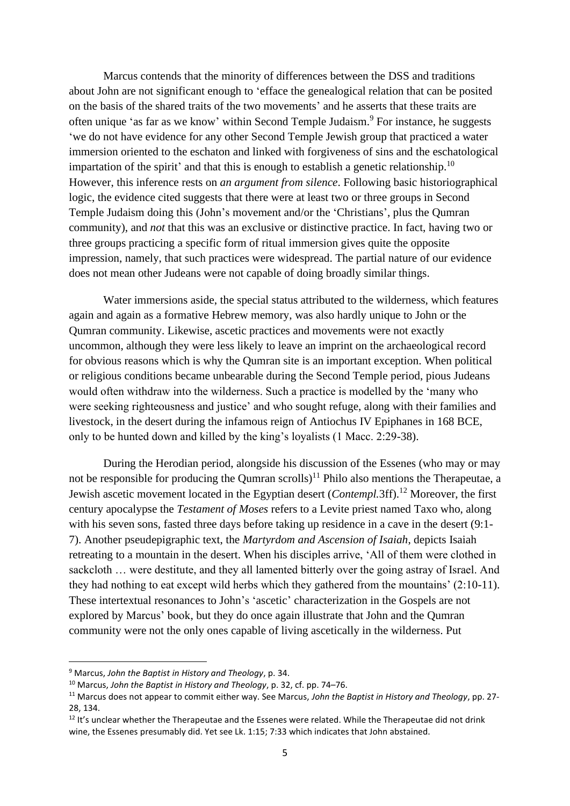Marcus contends that the minority of differences between the DSS and traditions about John are not significant enough to 'efface the genealogical relation that can be posited on the basis of the shared traits of the two movements' and he asserts that these traits are often unique 'as far as we know' within Second Temple Judaism.<sup>9</sup> For instance, he suggests 'we do not have evidence for any other Second Temple Jewish group that practiced a water immersion oriented to the eschaton and linked with forgiveness of sins and the eschatological impartation of the spirit' and that this is enough to establish a genetic relationship.<sup>10</sup> However, this inference rests on *an argument from silence*. Following basic historiographical logic, the evidence cited suggests that there were at least two or three groups in Second Temple Judaism doing this (John's movement and/or the 'Christians', plus the Qumran community), and *not* that this was an exclusive or distinctive practice. In fact, having two or three groups practicing a specific form of ritual immersion gives quite the opposite impression, namely, that such practices were widespread. The partial nature of our evidence does not mean other Judeans were not capable of doing broadly similar things.

Water immersions aside, the special status attributed to the wilderness, which features again and again as a formative Hebrew memory, was also hardly unique to John or the Qumran community. Likewise, ascetic practices and movements were not exactly uncommon, although they were less likely to leave an imprint on the archaeological record for obvious reasons which is why the Qumran site is an important exception. When political or religious conditions became unbearable during the Second Temple period, pious Judeans would often withdraw into the wilderness. Such a practice is modelled by the 'many who were seeking righteousness and justice' and who sought refuge, along with their families and livestock, in the desert during the infamous reign of Antiochus IV Epiphanes in 168 BCE, only to be hunted down and killed by the king's loyalists (1 Macc. 2:29-38).

During the Herodian period, alongside his discussion of the Essenes (who may or may not be responsible for producing the Qumran scrolls)<sup>11</sup> Philo also mentions the Therapeutae, a Jewish ascetic movement located in the Egyptian desert (*Contempl.*3ff).<sup>12</sup> Moreover, the first century apocalypse the *Testament of Moses* refers to a Levite priest named Taxo who, along with his seven sons, fasted three days before taking up residence in a cave in the desert (9:1- 7). Another pseudepigraphic text, the *Martyrdom and Ascension of Isaiah*, depicts Isaiah retreating to a mountain in the desert. When his disciples arrive, 'All of them were clothed in sackcloth … were destitute, and they all lamented bitterly over the going astray of Israel. And they had nothing to eat except wild herbs which they gathered from the mountains' (2:10-11). These intertextual resonances to John's 'ascetic' characterization in the Gospels are not explored by Marcus' book, but they do once again illustrate that John and the Qumran community were not the only ones capable of living ascetically in the wilderness. Put

<sup>9</sup> Marcus, *John the Baptist in History and Theology*, p. 34.

<sup>10</sup> Marcus, *John the Baptist in History and Theology*, p. 32, cf. pp. 74–76.

<sup>11</sup> Marcus does not appear to commit either way. See Marcus, *John the Baptist in History and Theology*, pp. 27- 28, 134.

 $12$  It's unclear whether the Therapeutae and the Essenes were related. While the Therapeutae did not drink wine, the Essenes presumably did. Yet see Lk. 1:15; 7:33 which indicates that John abstained.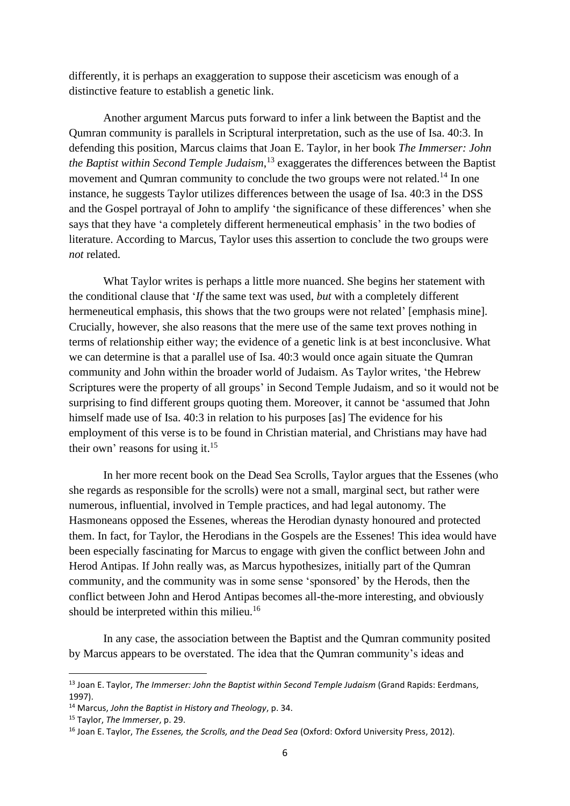differently, it is perhaps an exaggeration to suppose their asceticism was enough of a distinctive feature to establish a genetic link.

Another argument Marcus puts forward to infer a link between the Baptist and the Qumran community is parallels in Scriptural interpretation, such as the use of Isa. 40:3. In defending this position, Marcus claims that Joan E. Taylor, in her book *The Immerser: John the Baptist within Second Temple Judaism*, <sup>13</sup> exaggerates the differences between the Baptist movement and Qumran community to conclude the two groups were not related.<sup>14</sup> In one instance, he suggests Taylor utilizes differences between the usage of Isa. 40:3 in the DSS and the Gospel portrayal of John to amplify 'the significance of these differences' when she says that they have 'a completely different hermeneutical emphasis' in the two bodies of literature. According to Marcus, Taylor uses this assertion to conclude the two groups were *not* related.

What Taylor writes is perhaps a little more nuanced. She begins her statement with the conditional clause that '*If* the same text was used, *but* with a completely different hermeneutical emphasis, this shows that the two groups were not related' [emphasis mine]. Crucially, however, she also reasons that the mere use of the same text proves nothing in terms of relationship either way; the evidence of a genetic link is at best inconclusive. What we can determine is that a parallel use of Isa. 40:3 would once again situate the Qumran community and John within the broader world of Judaism. As Taylor writes, 'the Hebrew Scriptures were the property of all groups' in Second Temple Judaism, and so it would not be surprising to find different groups quoting them. Moreover, it cannot be 'assumed that John himself made use of Isa. 40:3 in relation to his purposes [as] The evidence for his employment of this verse is to be found in Christian material, and Christians may have had their own' reasons for using it.<sup>15</sup>

In her more recent book on the Dead Sea Scrolls, Taylor argues that the Essenes (who she regards as responsible for the scrolls) were not a small, marginal sect, but rather were numerous, influential, involved in Temple practices, and had legal autonomy. The Hasmoneans opposed the Essenes, whereas the Herodian dynasty honoured and protected them. In fact, for Taylor, the Herodians in the Gospels are the Essenes! This idea would have been especially fascinating for Marcus to engage with given the conflict between John and Herod Antipas. If John really was, as Marcus hypothesizes, initially part of the Qumran community, and the community was in some sense 'sponsored' by the Herods, then the conflict between John and Herod Antipas becomes all-the-more interesting, and obviously should be interpreted within this milieu.<sup>16</sup>

In any case, the association between the Baptist and the Qumran community posited by Marcus appears to be overstated. The idea that the Qumran community's ideas and

<sup>13</sup> Joan E. Taylor, *The Immerser: John the Baptist within Second Temple Judaism* (Grand Rapids: Eerdmans, 1997).

<sup>14</sup> Marcus, *John the Baptist in History and Theology*, p. 34.

<sup>15</sup> Taylor, *The Immerser*, p. 29.

<sup>16</sup> Joan E. Taylor, *The Essenes, the Scrolls, and the Dead Sea* (Oxford: Oxford University Press, 2012).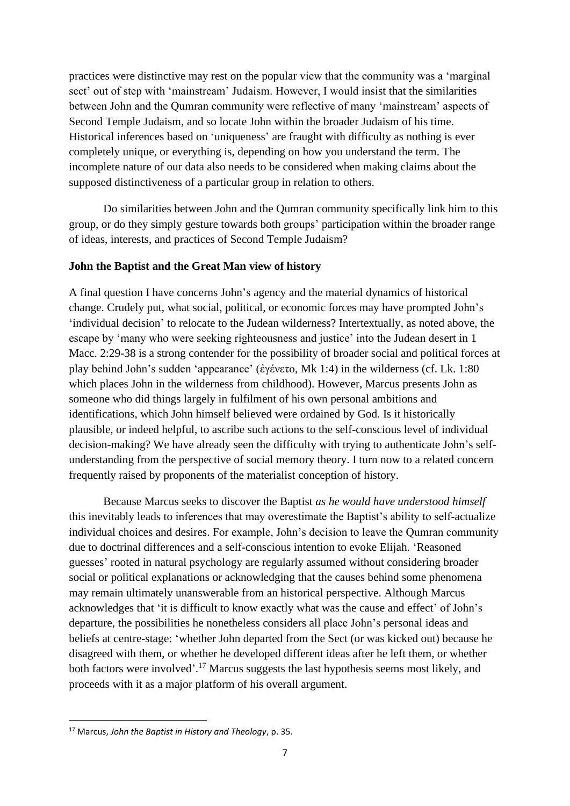practices were distinctive may rest on the popular view that the community was a 'marginal sect' out of step with 'mainstream' Judaism. However, I would insist that the similarities between John and the Qumran community were reflective of many 'mainstream' aspects of Second Temple Judaism, and so locate John within the broader Judaism of his time. Historical inferences based on 'uniqueness' are fraught with difficulty as nothing is ever completely unique, or everything is, depending on how you understand the term. The incomplete nature of our data also needs to be considered when making claims about the supposed distinctiveness of a particular group in relation to others.

Do similarities between John and the Qumran community specifically link him to this group, or do they simply gesture towards both groups' participation within the broader range of ideas, interests, and practices of Second Temple Judaism?

### **John the Baptist and the Great Man view of history**

A final question I have concerns John's agency and the material dynamics of historical change. Crudely put, what social, political, or economic forces may have prompted John's 'individual decision' to relocate to the Judean wilderness? Intertextually, as noted above, the escape by 'many who were seeking righteousness and justice' into the Judean desert in 1 Macc. 2:29-38 is a strong contender for the possibility of broader social and political forces at play behind John's sudden 'appearance' (ἐγένετο, Mk 1:4) in the wilderness (cf. Lk. 1:80 which places John in the wilderness from childhood). However, Marcus presents John as someone who did things largely in fulfilment of his own personal ambitions and identifications, which John himself believed were ordained by God. Is it historically plausible, or indeed helpful, to ascribe such actions to the self-conscious level of individual decision-making? We have already seen the difficulty with trying to authenticate John's selfunderstanding from the perspective of social memory theory. I turn now to a related concern frequently raised by proponents of the materialist conception of history.

Because Marcus seeks to discover the Baptist *as he would have understood himself* this inevitably leads to inferences that may overestimate the Baptist's ability to self-actualize individual choices and desires. For example, John's decision to leave the Qumran community due to doctrinal differences and a self-conscious intention to evoke Elijah. 'Reasoned guesses' rooted in natural psychology are regularly assumed without considering broader social or political explanations or acknowledging that the causes behind some phenomena may remain ultimately unanswerable from an historical perspective. Although Marcus acknowledges that 'it is difficult to know exactly what was the cause and effect' of John's departure, the possibilities he nonetheless considers all place John's personal ideas and beliefs at centre-stage: 'whether John departed from the Sect (or was kicked out) because he disagreed with them, or whether he developed different ideas after he left them, or whether both factors were involved'.<sup>17</sup> Marcus suggests the last hypothesis seems most likely, and proceeds with it as a major platform of his overall argument.

<sup>17</sup> Marcus, *John the Baptist in History and Theology*, p. 35.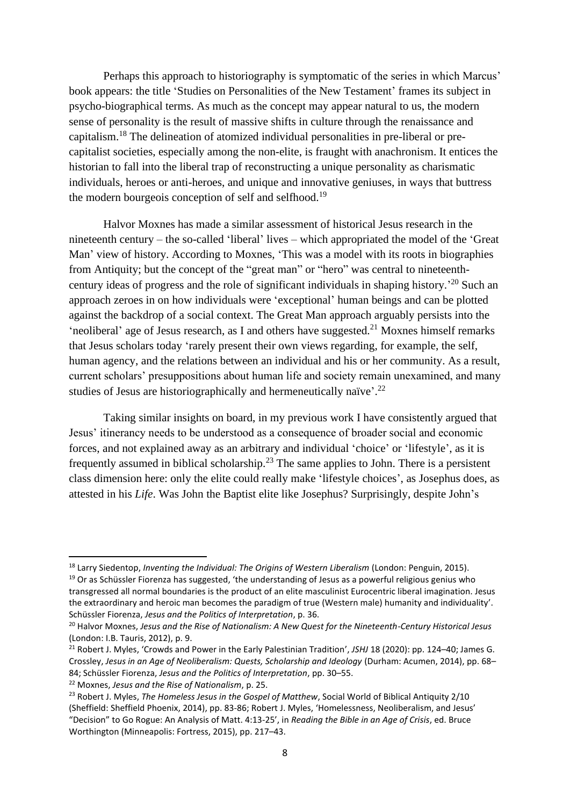Perhaps this approach to historiography is symptomatic of the series in which Marcus' book appears: the title 'Studies on Personalities of the New Testament' frames its subject in psycho-biographical terms. As much as the concept may appear natural to us, the modern sense of personality is the result of massive shifts in culture through the renaissance and capitalism.<sup>18</sup> The delineation of atomized individual personalities in pre-liberal or precapitalist societies, especially among the non-elite, is fraught with anachronism. It entices the historian to fall into the liberal trap of reconstructing a unique personality as charismatic individuals, heroes or anti-heroes, and unique and innovative geniuses, in ways that buttress the modern bourgeois conception of self and selfhood.<sup>19</sup>

Halvor Moxnes has made a similar assessment of historical Jesus research in the nineteenth century – the so-called 'liberal' lives – which appropriated the model of the 'Great Man' view of history. According to Moxnes, 'This was a model with its roots in biographies from Antiquity; but the concept of the "great man" or "hero" was central to nineteenthcentury ideas of progress and the role of significant individuals in shaping history.' <sup>20</sup> Such an approach zeroes in on how individuals were 'exceptional' human beings and can be plotted against the backdrop of a social context. The Great Man approach arguably persists into the 'neoliberal' age of Jesus research, as I and others have suggested.<sup>21</sup> Moxnes himself remarks that Jesus scholars today 'rarely present their own views regarding, for example, the self, human agency, and the relations between an individual and his or her community. As a result, current scholars' presuppositions about human life and society remain unexamined, and many studies of Jesus are historiographically and hermeneutically naïve'.<sup>22</sup>

Taking similar insights on board, in my previous work I have consistently argued that Jesus' itinerancy needs to be understood as a consequence of broader social and economic forces, and not explained away as an arbitrary and individual 'choice' or 'lifestyle', as it is frequently assumed in biblical scholarship.<sup>23</sup> The same applies to John. There is a persistent class dimension here: only the elite could really make 'lifestyle choices', as Josephus does, as attested in his *Life*. Was John the Baptist elite like Josephus? Surprisingly, despite John's

<sup>18</sup> Larry Siedentop, *Inventing the Individual: The Origins of Western Liberalism* (London: Penguin, 2015).

<sup>&</sup>lt;sup>19</sup> Or as Schüssler Fiorenza has suggested, 'the understanding of Jesus as a powerful religious genius who transgressed all normal boundaries is the product of an elite masculinist Eurocentric liberal imagination. Jesus the extraordinary and heroic man becomes the paradigm of true (Western male) humanity and individuality'. Schüssler Fiorenza, *Jesus and the Politics of Interpretation*, p. 36.

<sup>20</sup> Halvor Moxnes, *Jesus and the Rise of Nationalism: A New Quest for the Nineteenth-Century Historical Jesus* (London: I.B. Tauris, 2012), p. 9.

<sup>&</sup>lt;sup>21</sup> Robert J. Myles, 'Crowds and Power in the Early Palestinian Tradition', JSHJ 18 (2020): pp. 124–40; James G. Crossley, *Jesus in an Age of Neoliberalism: Quests, Scholarship and Ideology* (Durham: Acumen, 2014), pp. 68– 84; Schüssler Fiorenza, *Jesus and the Politics of Interpretation*, pp. 30–55.

<sup>22</sup> Moxnes, *Jesus and the Rise of Nationalism*, p. 25.

<sup>&</sup>lt;sup>23</sup> Robert J. Myles, *The Homeless Jesus in the Gospel of Matthew*, Social World of Biblical Antiquity 2/10 (Sheffield: Sheffield Phoenix, 2014), pp. 83-86; Robert J. Myles, 'Homelessness, Neoliberalism, and Jesus' "Decision" to Go Rogue: An Analysis of Matt. 4:13-25', in *Reading the Bible in an Age of Crisis*, ed. Bruce Worthington (Minneapolis: Fortress, 2015), pp. 217–43.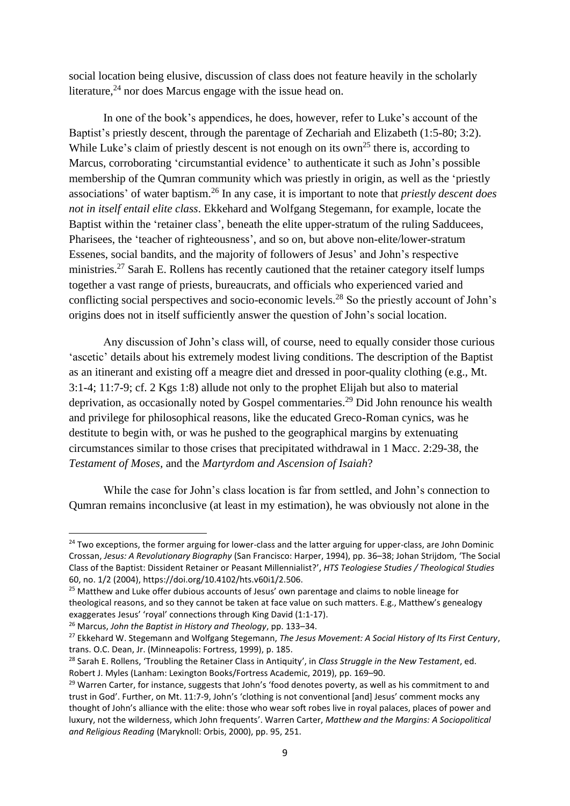social location being elusive, discussion of class does not feature heavily in the scholarly literature,  $24$  nor does Marcus engage with the issue head on.

In one of the book's appendices, he does, however, refer to Luke's account of the Baptist's priestly descent, through the parentage of Zechariah and Elizabeth (1:5-80; 3:2). While Luke's claim of priestly descent is not enough on its own<sup>25</sup> there is, according to Marcus, corroborating 'circumstantial evidence' to authenticate it such as John's possible membership of the Qumran community which was priestly in origin, as well as the 'priestly associations' of water baptism.<sup>26</sup> In any case, it is important to note that *priestly descent does not in itself entail elite class*. Ekkehard and Wolfgang Stegemann, for example, locate the Baptist within the 'retainer class', beneath the elite upper-stratum of the ruling Sadducees, Pharisees, the 'teacher of righteousness', and so on, but above non-elite/lower-stratum Essenes, social bandits, and the majority of followers of Jesus' and John's respective ministries.<sup>27</sup> Sarah E. Rollens has recently cautioned that the retainer category itself lumps together a vast range of priests, bureaucrats, and officials who experienced varied and conflicting social perspectives and socio-economic levels.<sup>28</sup> So the priestly account of John's origins does not in itself sufficiently answer the question of John's social location.

Any discussion of John's class will, of course, need to equally consider those curious 'ascetic' details about his extremely modest living conditions. The description of the Baptist as an itinerant and existing off a meagre diet and dressed in poor-quality clothing (e.g., Mt. 3:1-4; 11:7-9; cf. 2 Kgs 1:8) allude not only to the prophet Elijah but also to material deprivation, as occasionally noted by Gospel commentaries.<sup>29</sup> Did John renounce his wealth and privilege for philosophical reasons, like the educated Greco-Roman cynics, was he destitute to begin with, or was he pushed to the geographical margins by extenuating circumstances similar to those crises that precipitated withdrawal in 1 Macc. 2:29-38, the *Testament of Moses,* and the *Martyrdom and Ascension of Isaiah*?

While the case for John's class location is far from settled, and John's connection to Qumran remains inconclusive (at least in my estimation), he was obviously not alone in the

<sup>&</sup>lt;sup>24</sup> Two exceptions, the former arguing for lower-class and the latter arguing for upper-class, are John Dominic Crossan, *Jesus: A Revolutionary Biography* (San Francisco: Harper, 1994), pp. 36–38; Johan Strijdom, 'The Social Class of the Baptist: Dissident Retainer or Peasant Millennialist?', *HTS Teologiese Studies / Theological Studies* 60, no. 1/2 (2004), https://doi.org/10.4102/hts.v60i1/2.506.

<sup>&</sup>lt;sup>25</sup> Matthew and Luke offer dubious accounts of Jesus' own parentage and claims to noble lineage for theological reasons, and so they cannot be taken at face value on such matters. E.g., Matthew's genealogy exaggerates Jesus' 'royal' connections through King David (1:1-17).

<sup>26</sup> Marcus, *John the Baptist in History and Theology*, pp. 133–34.

<sup>27</sup> Ekkehard W. Stegemann and Wolfgang Stegemann, *The Jesus Movement: A Social History of Its First Century*, trans. O.C. Dean, Jr. (Minneapolis: Fortress, 1999), p. 185.

<sup>28</sup> Sarah E. Rollens, 'Troubling the Retainer Class in Antiquity', in *Class Struggle in the New Testament*, ed. Robert J. Myles (Lanham: Lexington Books/Fortress Academic, 2019), pp. 169–90.

<sup>&</sup>lt;sup>29</sup> Warren Carter, for instance, suggests that John's 'food denotes poverty, as well as his commitment to and trust in God'. Further, on Mt. 11:7-9, John's 'clothing is not conventional [and] Jesus' comment mocks any thought of John's alliance with the elite: those who wear soft robes live in royal palaces, places of power and luxury, not the wilderness, which John frequents'. Warren Carter, *Matthew and the Margins: A Sociopolitical and Religious Reading* (Maryknoll: Orbis, 2000), pp. 95, 251.